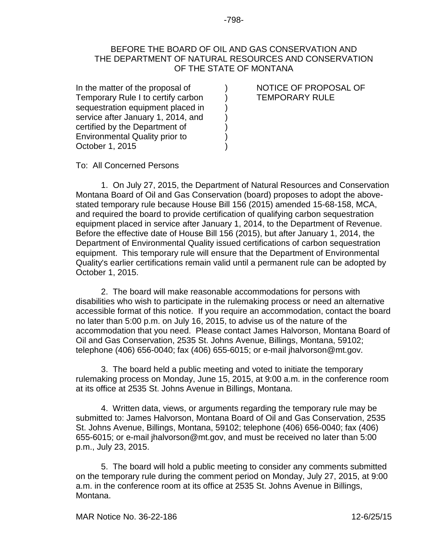## BEFORE THE BOARD OF OIL AND GAS CONSERVATION AND THE DEPARTMENT OF NATURAL RESOURCES AND CONSERVATION OF THE STATE OF MONTANA

) ) ) ) ) ) )

In the matter of the proposal of Temporary Rule I to certify carbon sequestration equipment placed in service after January 1, 2014, and certified by the Department of Environmental Quality prior to October 1, 2015

NOTICE OF PROPOSAL OF TEMPORARY RULE

To: All Concerned Persons

1. On July 27, 2015, the Department of Natural Resources and Conservation Montana Board of Oil and Gas Conservation (board) proposes to adopt the abovestated temporary rule because House Bill 156 (2015) amended 15-68-158, MCA, and required the board to provide certification of qualifying carbon sequestration equipment placed in service after January 1, 2014, to the Department of Revenue. Before the effective date of House Bill 156 (2015), but after January 1, 2014, the Department of Environmental Quality issued certifications of carbon sequestration equipment. This temporary rule will ensure that the Department of Environmental Quality's earlier certifications remain valid until a permanent rule can be adopted by October 1, 2015.

2. The board will make reasonable accommodations for persons with disabilities who wish to participate in the rulemaking process or need an alternative accessible format of this notice. If you require an accommodation, contact the board no later than 5:00 p.m. on July 16, 2015, to advise us of the nature of the accommodation that you need. Please contact James Halvorson, Montana Board of Oil and Gas Conservation, 2535 St. Johns Avenue, Billings, Montana, 59102; telephone (406) 656-0040; fax (406) 655-6015; or e-mail jhalvorson@mt.gov.

3. The board held a public meeting and voted to initiate the temporary rulemaking process on Monday, June 15, 2015, at 9:00 a.m. in the conference room at its office at 2535 St. Johns Avenue in Billings, Montana.

4. Written data, views, or arguments regarding the temporary rule may be submitted to: James Halvorson, Montana Board of Oil and Gas Conservation, 2535 St. Johns Avenue, Billings, Montana, 59102; telephone (406) 656-0040; fax (406) 655-6015; or e-mail [jhalvorson@mt.gov,](mailto:jhalvorson@mt.gov) and must be received no later than 5:00 p.m., July 23, 2015.

5. The board will hold a public meeting to consider any comments submitted on the temporary rule during the comment period on Monday, July 27, 2015, at 9:00 a.m. in the conference room at its office at 2535 St. Johns Avenue in Billings, Montana.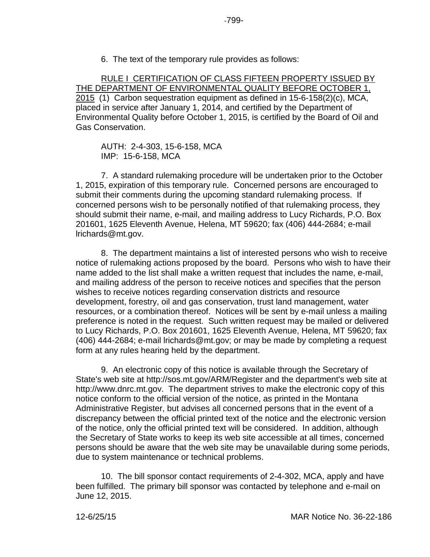6. The text of the temporary rule provides as follows:

RULE I CERTIFICATION OF CLASS FIFTEEN PROPERTY ISSUED BY THE DEPARTMENT OF ENVIRONMENTAL QUALITY BEFORE OCTOBER 1, 2015 (1) Carbon sequestration equipment as defined in 15-6-158(2)(c), MCA, placed in service after January 1, 2014, and certified by the Department of Environmental Quality before October 1, 2015, is certified by the Board of Oil and Gas Conservation.

AUTH: 2-4-303, 15-6-158, MCA IMP: 15-6-158, MCA

7. A standard rulemaking procedure will be undertaken prior to the October 1, 2015, expiration of this temporary rule. Concerned persons are encouraged to submit their comments during the upcoming standard rulemaking process. If concerned persons wish to be personally notified of that rulemaking process, they should submit their name, e-mail, and mailing address to Lucy Richards, P.O. Box 201601, 1625 Eleventh Avenue, Helena, MT 59620; fax (406) 444-2684; e-mail lrichards@mt.gov.

8. The department maintains a list of interested persons who wish to receive notice of rulemaking actions proposed by the board. Persons who wish to have their name added to the list shall make a written request that includes the name, e-mail, and mailing address of the person to receive notices and specifies that the person wishes to receive notices regarding conservation districts and resource development, forestry, oil and gas conservation, trust land management, water resources, or a combination thereof. Notices will be sent by e-mail unless a mailing preference is noted in the request. Such written request may be mailed or delivered to Lucy Richards, P.O. Box 201601, 1625 Eleventh Avenue, Helena, MT 59620; fax (406) 444-2684; e-mail lrichards@mt.gov; or may be made by completing a request form at any rules hearing held by the department.

9. An electronic copy of this notice is available through the Secretary of State's web site at http://sos.mt.gov/ARM/Register and the department's web site at http://www.dnrc.mt.gov. The department strives to make the electronic copy of this notice conform to the official version of the notice, as printed in the Montana Administrative Register, but advises all concerned persons that in the event of a discrepancy between the official printed text of the notice and the electronic version of the notice, only the official printed text will be considered. In addition, although the Secretary of State works to keep its web site accessible at all times, concerned persons should be aware that the web site may be unavailable during some periods, due to system maintenance or technical problems.

10. The bill sponsor contact requirements of 2-4-302, MCA, apply and have been fulfilled. The primary bill sponsor was contacted by telephone and e-mail on June 12, 2015.